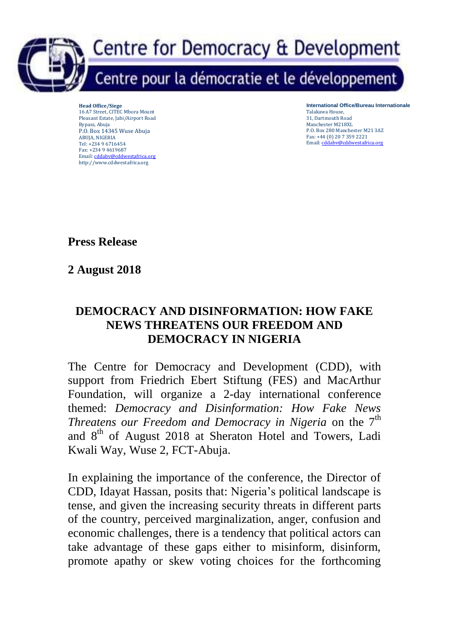

**Head Office/Siege** 16 A7 Street, CITEC Mbora Mount Pleasant Estate, Jabi/Airport Road Bypass, Abuja P.O. Box 14345 Wuse Abuja ABUJA, NIGERIA Tel: +234 9 6716454 Fax: +234 9 4619687 Email: cddabv@cddwestafrica.org http://www.cddwestafrica.org

**International Office/Bureau Internationale**  Talakawa House, 31, Dartmouth Road Manchester M218XL P.O. Box 280 Manchester M21 3AZ Fax: +44 (0) 20 7 359 2221 Email: cddabv@cddwestafrica.org

**Press Release**

**2 August 2018**

## **DEMOCRACY AND DISINFORMATION: HOW FAKE NEWS THREATENS OUR FREEDOM AND DEMOCRACY IN NIGERIA**

The Centre for Democracy and Development (CDD), with support from Friedrich Ebert Stiftung (FES) and MacArthur Foundation, will organize a 2-day international conference themed: *Democracy and Disinformation: How Fake News Threatens our Freedom and Democracy in Nigeria* on the 7<sup>th</sup> and 8<sup>th</sup> of August 2018 at Sheraton Hotel and Towers, Ladi Kwali Way, Wuse 2, FCT-Abuja.

In explaining the importance of the conference, the Director of CDD, Idayat Hassan, posits that: Nigeria's political landscape is tense, and given the increasing security threats in different parts of the country, perceived marginalization, anger, confusion and economic challenges, there is a tendency that political actors can take advantage of these gaps either to misinform, disinform, promote apathy or skew voting choices for the forthcoming